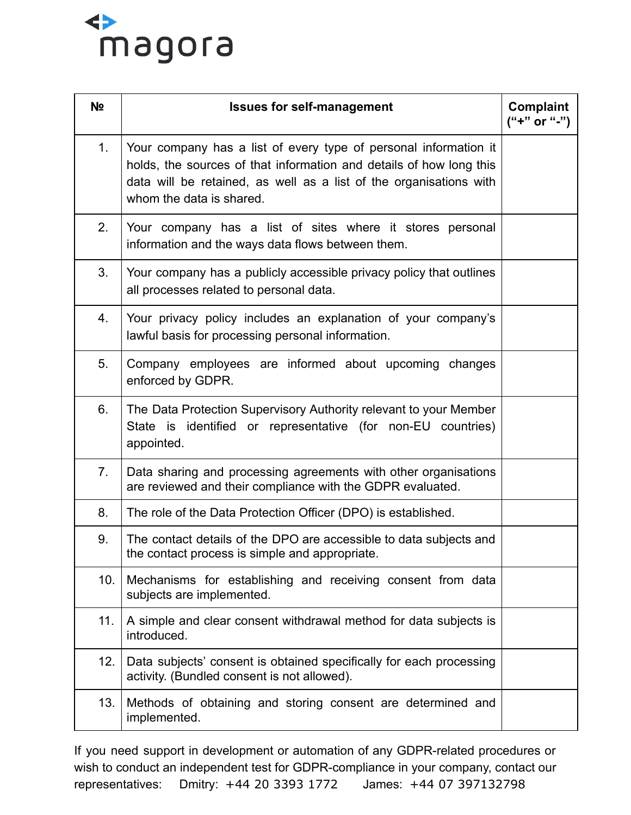

| N <sub>2</sub> | <b>Issues for self-management</b>                                                                                                                                                                                                         | Complaint<br>$("+" or "-'")$ |
|----------------|-------------------------------------------------------------------------------------------------------------------------------------------------------------------------------------------------------------------------------------------|------------------------------|
| 1.             | Your company has a list of every type of personal information it<br>holds, the sources of that information and details of how long this<br>data will be retained, as well as a list of the organisations with<br>whom the data is shared. |                              |
| 2.             | Your company has a list of sites where it stores personal<br>information and the ways data flows between them.                                                                                                                            |                              |
| 3.             | Your company has a publicly accessible privacy policy that outlines<br>all processes related to personal data.                                                                                                                            |                              |
| 4.             | Your privacy policy includes an explanation of your company's<br>lawful basis for processing personal information.                                                                                                                        |                              |
| 5.             | Company employees are informed about upcoming changes<br>enforced by GDPR.                                                                                                                                                                |                              |
| 6.             | The Data Protection Supervisory Authority relevant to your Member<br>State is identified or representative (for non-EU countries)<br>appointed.                                                                                           |                              |
| 7.             | Data sharing and processing agreements with other organisations<br>are reviewed and their compliance with the GDPR evaluated.                                                                                                             |                              |
| 8.             | The role of the Data Protection Officer (DPO) is established.                                                                                                                                                                             |                              |
| 9.             | The contact details of the DPO are accessible to data subjects and<br>the contact process is simple and appropriate                                                                                                                       |                              |
| 10.            | Mechanisms for establishing and receiving consent from data<br>subjects are implemented.                                                                                                                                                  |                              |
| 11.            | A simple and clear consent withdrawal method for data subjects is<br>introduced.                                                                                                                                                          |                              |
| 12.            | Data subjects' consent is obtained specifically for each processing<br>activity. (Bundled consent is not allowed).                                                                                                                        |                              |
| 13.            | Methods of obtaining and storing consent are determined and<br>implemented.                                                                                                                                                               |                              |

If you need support in development or automation of any GDPR-related procedures or wish to conduct an independent test for GDPR-compliance in your company, contact our representatives: Dmitry: +44 20 3393 1772 James: +44 07 397132798